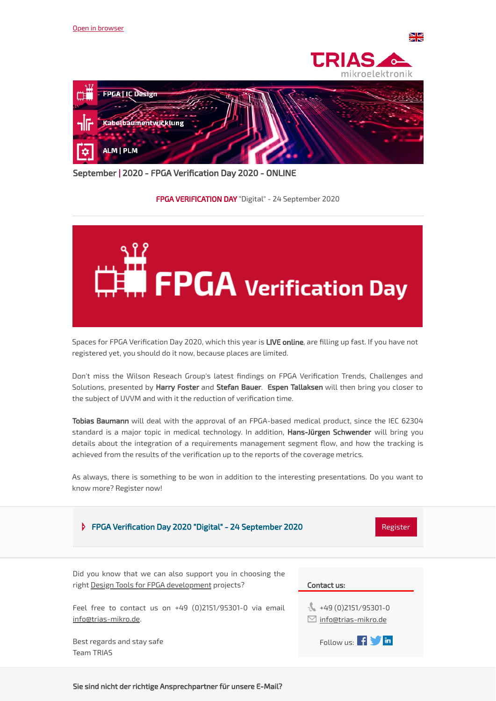





September | 2020 - FPGA Verification Day 2020 - ONLINE

## FPGA VERIFICATION DAY "Digital" - 24 September 2020



Spaces for FPGA Verification Day 2020, which this year is LIVE online, are filling up fast. If you have not registered yet, you should do it now, because places are limited.

Don't miss the Wilson Reseach Group's latest findings on FPGA Verification Trends, Challenges and Solutions, presented by Harry Foster and Stefan Bauer. Espen Tallaksen will then bring you closer to the subject of UVVM and with it the reduction of verification time.

Tobias Baumann will deal with the approval of an FPGA-based medical product, since the IEC 62304 standard is a major topic in medical technology. In addition, Hans-Jürgen Schwender will bring you details about the integration of a requirements management segment flow, and how the tracking is achieved from the results of the verification up to the reports of the coverage metrics.

As always, there is something to be won in addition to the interesting presentations. Do you want to know more? Register now!

| FPGA Verification Day 2020 "Digital" - 24 September 2020<br>Þ.<br>Register                                            |                                                       |
|-----------------------------------------------------------------------------------------------------------------------|-------------------------------------------------------|
| Did you know that we can also support you in choosing the<br>right <u>Design Tools for FPGA</u> development projects? | Contact us:                                           |
| Feel free to contact us on $+49$ (0)2151/95301-0 via email<br>info@trias-mikro.de.                                    | $+49(0)2151/95301-0$<br>$\boxdot$ info@trias-mikro.de |
| Best regards and stay safe<br>Team TRIAS                                                                              | Follow us: $\mathbf{f}$ $\mathbf{f}$ in               |